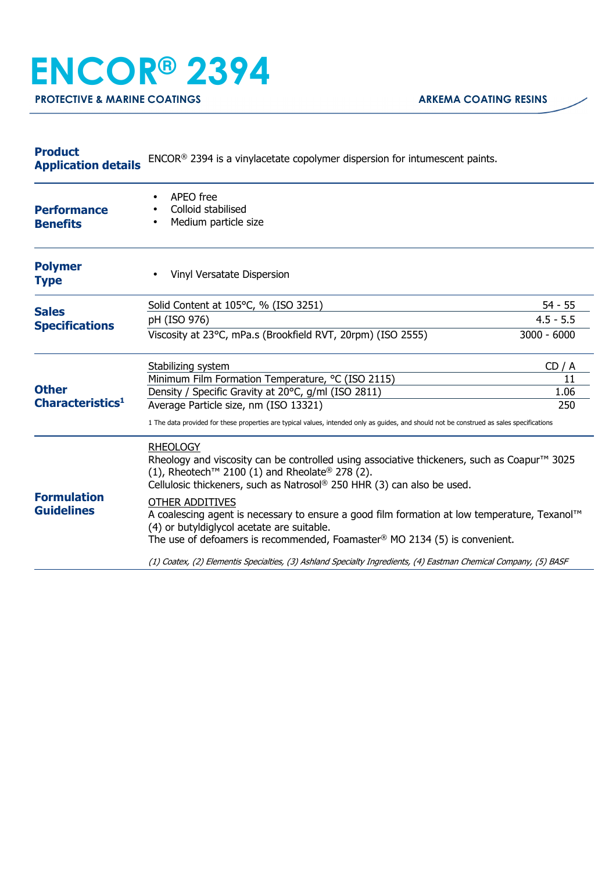## **ENCOR® 2394**

**PROTECTIVE & MARINE COATINGS ARKEMA COATING RESINS** 

| <b>Product</b><br><b>Application details</b> | $ENCOR®$ 2394 is a vinylacetate copolymer dispersion for intumescent paints.                                                                                                                                                                                                   |               |  |
|----------------------------------------------|--------------------------------------------------------------------------------------------------------------------------------------------------------------------------------------------------------------------------------------------------------------------------------|---------------|--|
| <b>Performance</b><br><b>Benefits</b>        | APEO free<br>Colloid stabilised<br>Medium particle size                                                                                                                                                                                                                        |               |  |
| <b>Polymer</b><br><b>Type</b>                | Vinyl Versatate Dispersion                                                                                                                                                                                                                                                     |               |  |
| <b>Sales</b><br><b>Specifications</b>        | Solid Content at 105°C, % (ISO 3251)                                                                                                                                                                                                                                           | 54 - 55       |  |
|                                              | pH (ISO 976)                                                                                                                                                                                                                                                                   | $4.5 - 5.5$   |  |
|                                              | Viscosity at 23°C, mPa.s (Brookfield RVT, 20rpm) (ISO 2555)                                                                                                                                                                                                                    | $3000 - 6000$ |  |
| <b>Other</b><br>Characteristics <sup>1</sup> | Stabilizing system                                                                                                                                                                                                                                                             | CD / A        |  |
|                                              | Minimum Film Formation Temperature, °C (ISO 2115)                                                                                                                                                                                                                              | 11            |  |
|                                              | Density / Specific Gravity at 20°C, g/ml (ISO 2811)<br>Average Particle size, nm (ISO 13321)                                                                                                                                                                                   | 1.06<br>250   |  |
|                                              | 1 The data provided for these properties are typical values, intended only as guides, and should not be construed as sales specifications                                                                                                                                      |               |  |
| <b>Formulation</b><br><b>Guidelines</b>      | <b>RHEOLOGY</b><br>Rheology and viscosity can be controlled using associative thickeners, such as Coapur <sup>™</sup> 3025<br>(1), Rheotech <sup>™</sup> 2100 (1) and Rheolate <sup>®</sup> 278 (2).<br>Cellulosic thickeners, such as Natrosol® 250 HHR (3) can also be used. |               |  |
|                                              | <b>OTHER ADDITIVES</b><br>A coalescing agent is necessary to ensure a good film formation at low temperature, Texanol™<br>(4) or butyldiglycol acetate are suitable.<br>The use of defoamers is recommended, Foamaster® MO 2134 (5) is convenient.                             |               |  |
|                                              | (1) Coatex, (2) Elementis Specialties, (3) Ashland Specialty Ingredients, (4) Eastman Chemical Company, (5) BASF                                                                                                                                                               |               |  |